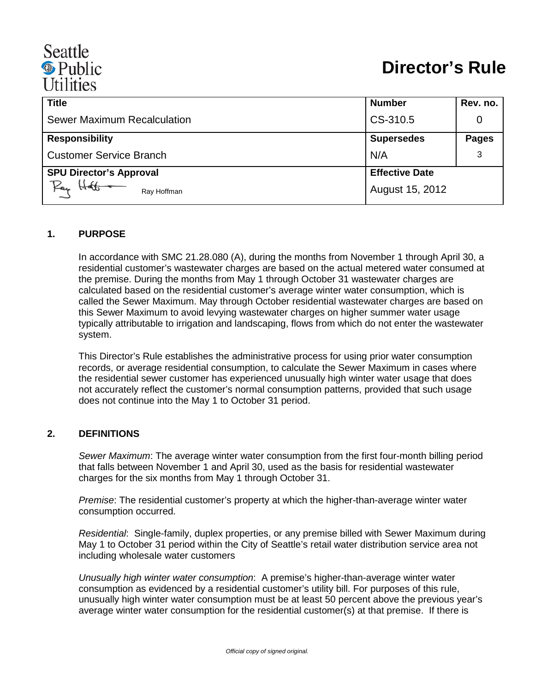# Seattle <sup><sup>®</sup> Public</sup> **Utilities**

| <b>Title</b>                   | <b>Number</b>         | Rev. no.     |
|--------------------------------|-----------------------|--------------|
| Sewer Maximum Recalculation    | CS-310.5              |              |
| <b>Responsibility</b>          | <b>Supersedes</b>     | <b>Pages</b> |
| <b>Customer Service Branch</b> | N/A                   | 3            |
| <b>SPU Director's Approval</b> | <b>Effective Date</b> |              |
| Pay<br>Ray Hoffman             | August 15, 2012       |              |

#### **1. PURPOSE**

In accordance with SMC 21.28.080 (A), during the months from November 1 through April 30, a residential customer's wastewater charges are based on the actual metered water consumed at the premise. During the months from May 1 through October 31 wastewater charges are calculated based on the residential customer's average winter water consumption, which is called the Sewer Maximum. May through October residential wastewater charges are based on this Sewer Maximum to avoid levying wastewater charges on higher summer water usage typically attributable to irrigation and landscaping, flows from which do not enter the wastewater system.

This Director's Rule establishes the administrative process for using prior water consumption records, or average residential consumption, to calculate the Sewer Maximum in cases where the residential sewer customer has experienced unusually high winter water usage that does not accurately reflect the customer's normal consumption patterns, provided that such usage does not continue into the May 1 to October 31 period.

#### **2. DEFINITIONS**

*Sewer Maximum*: The average winter water consumption from the first four-month billing period that falls between November 1 and April 30, used as the basis for residential wastewater charges for the six months from May 1 through October 31.

*Premise*: The residential customer's property at which the higher-than-average winter water consumption occurred.

*Residential*: Single-family, duplex properties, or any premise billed with Sewer Maximum during May 1 to October 31 period within the City of Seattle's retail water distribution service area not including wholesale water customers

*Unusually high winter water consumption*: A premise's higher-than-average winter water consumption as evidenced by a residential customer's utility bill. For purposes of this rule, unusually high winter water consumption must be at least 50 percent above the previous year's average winter water consumption for the residential customer(s) at that premise. If there is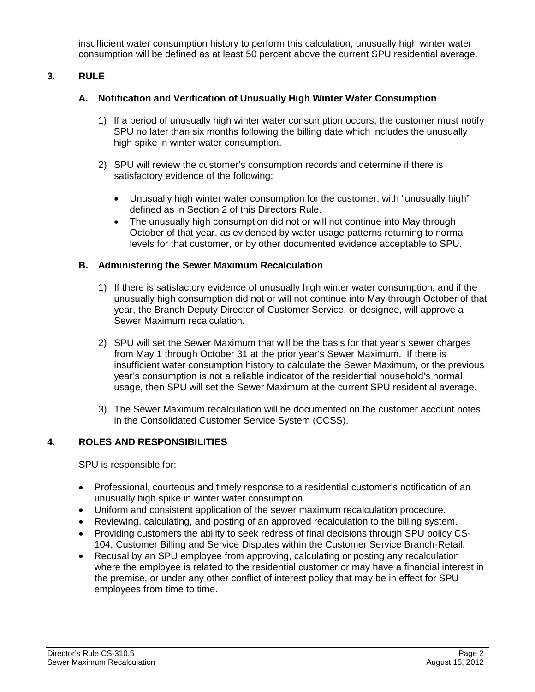insufficient water consumption history to perform this calculation, unusually high winter water consumption will be defined as at least 50 percent above the current SPU residential average.

## **3. RULE**

## **A. Notification and Verification of Unusually High Winter Water Consumption**

- 1) If a period of unusually high winter water consumption occurs, the customer must notify SPU no later than six months following the billing date which includes the unusually high spike in winter water consumption.
- 2) SPU will review the customer's consumption records and determine if there is satisfactory evidence of the following:
	- Unusually high winter water consumption for the customer, with "unusually high" defined as in Section 2 of this Directors Rule.
	- The unusually high consumption did not or will not continue into May through October of that year, as evidenced by water usage patterns returning to normal levels for that customer, or by other documented evidence acceptable to SPU.

#### **B. Administering the Sewer Maximum Recalculation**

- 1) If there is satisfactory evidence of unusually high winter water consumption, and if the unusually high consumption did not or will not continue into May through October of that year, the Branch Deputy Director of Customer Service, or designee, will approve a Sewer Maximum recalculation.
- 2) SPU will set the Sewer Maximum that will be the basis for that year's sewer charges from May 1 through October 31 at the prior year's Sewer Maximum. If there is insufficient water consumption history to calculate the Sewer Maximum, or the previous year's consumption is not a reliable indicator of the residential household's normal usage, then SPU will set the Sewer Maximum at the current SPU residential average.
- 3) The Sewer Maximum recalculation will be documented on the customer account notes in the Consolidated Customer Service System (CCSS).

## **4. ROLES AND RESPONSIBILITIES**

SPU is responsible for:

- Professional, courteous and timely response to a residential customer's notification of an unusually high spike in winter water consumption.
- Uniform and consistent application of the sewer maximum recalculation procedure.
- Reviewing, calculating, and posting of an approved recalculation to the billing system.
- Providing customers the ability to seek redress of final decisions through SPU policy CS-104, Customer Billing and Service Disputes within the Customer Service Branch-Retail.
- Recusal by an SPU employee from approving, calculating or posting any recalculation where the employee is related to the residential customer or may have a financial interest in the premise, or under any other conflict of interest policy that may be in effect for SPU employees from time to time.